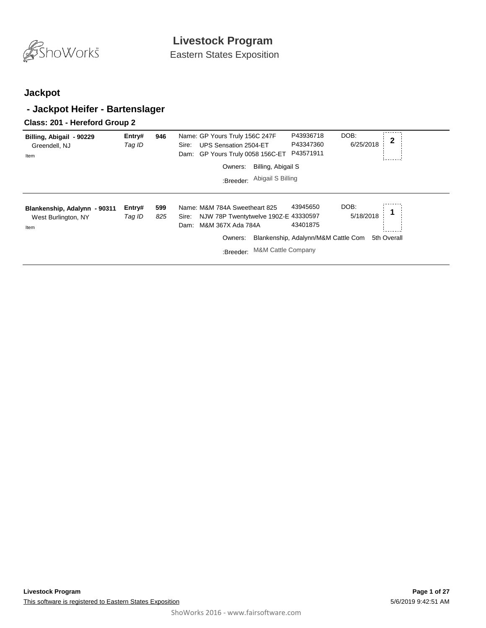

Eastern States Exposition

### **Jackpot**

### **- Jackpot Heifer - Bartenslager**

#### **Class: 201 - Hereford Group 2**

| Billing, Abigail - 90229<br>Greendell, NJ<br>Item           | Entry#<br>Tag ID | 946        | Name: GP Yours Truly 156C 247F<br>UPS Sensation 2504-ET<br>Sire:<br>GP Yours Truly 0058 156C-ET<br>Dam:                                                              | DOB:<br>P43936718<br>6/25/2018<br>P43347360<br>P43571911                         | $\mathbf{2}$ |
|-------------------------------------------------------------|------------------|------------|----------------------------------------------------------------------------------------------------------------------------------------------------------------------|----------------------------------------------------------------------------------|--------------|
|                                                             |                  |            | Billing, Abigail S<br>Owners:                                                                                                                                        |                                                                                  |              |
|                                                             |                  |            | Abigail S Billing<br>:Breeder:                                                                                                                                       |                                                                                  |              |
| Blankenship, Adalynn - 90311<br>West Burlington, NY<br>Item | Entry#<br>Tag ID | 599<br>825 | Name: M&M 784A Sweetheart 825<br>NJW 78P Twentytwelve 190Z-E 43330597<br>Sire:<br>M&M 367X Ada 784A<br>Dam:<br>Owners:<br><b>M&amp;M Cattle Company</b><br>:Breeder: | DOB:<br>43945650<br>5/18/2018<br>43401875<br>Blankenship, Adalynn/M&M Cattle Com | 5th Overall  |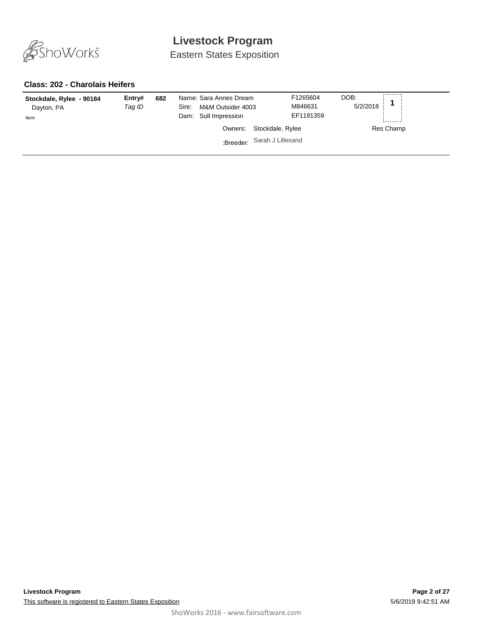

Eastern States Exposition

#### **Class: 202 - Charolais Heifers**

| Stockdale, Rylee - 90184<br>Dayton, PA<br>Item | Entry#<br>Tag ID | 682 | Name: Sara Annes Dream<br>M&M Outsider 4003<br>Sire:<br>Dam: Sull Impression<br>Owners: | F1265604<br>M846631<br>EF1191359<br>Stockdale, Rylee<br>:Breeder: Sarah J Lillesand | DOB:<br>5/2/2018 | Res Champ |
|------------------------------------------------|------------------|-----|-----------------------------------------------------------------------------------------|-------------------------------------------------------------------------------------|------------------|-----------|
|------------------------------------------------|------------------|-----|-----------------------------------------------------------------------------------------|-------------------------------------------------------------------------------------|------------------|-----------|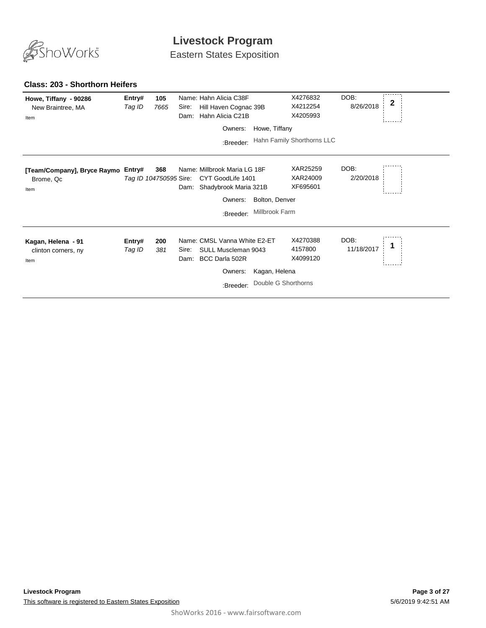

Eastern States Exposition

#### **Class: 203 - Shorthorn Heifers**

| Howe, Tiffany - 90286<br>New Braintree, MA<br>Item | Entry#<br>Tag ID                 | 105<br>7665 | Name: Hahn Alicia C38F<br>Hill Haven Cognac 39B<br>Sire:<br>Hahn Alicia C21B<br>Dam:                           |                                      | X4276832<br>X4212254<br>X4205993 | DOB:<br>8/26/2018  | $\mathbf 2$ |
|----------------------------------------------------|----------------------------------|-------------|----------------------------------------------------------------------------------------------------------------|--------------------------------------|----------------------------------|--------------------|-------------|
|                                                    |                                  |             | Owners:                                                                                                        | Howe, Tiffany                        |                                  |                    |             |
|                                                    |                                  |             | :Breeder:                                                                                                      |                                      | Hahn Family Shorthorns LLC       |                    |             |
| [Team/Company], Bryce Raymo<br>Brome, Qc<br>Item   | Entry#<br>Tag ID 104750595 Sire: | 368         | Name: Millbrook Maria LG 18F<br>CYT GoodLife 1401<br>Shadybrook Maria 321B<br>Dam:<br>Owners:<br>:Breeder:     | Bolton, Denver<br>Millbrook Farm     | XAR25259<br>XAR24009<br>XF695601 | DOB:<br>2/20/2018  |             |
| Kagan, Helena - 91<br>clinton corners, ny<br>Item  | Entry#<br>Tag ID                 | 200<br>381  | Name: CMSL Vanna White E2-ET<br>SULL Muscleman 9043<br>Sire:<br>BCC Darla 502R<br>Dam:<br>Owners:<br>:Breeder: | Kagan, Helena<br>Double G Shorthorns | X4270388<br>4157800<br>X4099120  | DOB:<br>11/18/2017 |             |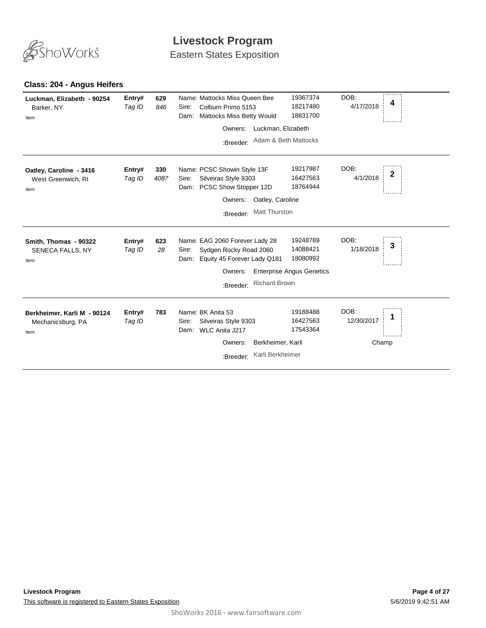

Eastern States Exposition

| Luckman, Elizabeth - 90254<br>Barker, NY<br>Item         | Entry#<br>Tag ID | 629<br>846  | Name: Mattocks Miss Queen Bee<br>Colburn Primo 5153<br>Sire:<br><b>Mattocks Miss Betty Would</b><br>Dam:<br>:Breeder:            | Owners: Luckman, Elizabeth<br>Adam & Beth Mattocks | 19367374<br>18217480<br>18831700                                     | DOB:<br>4/17/2018  | 4            |
|----------------------------------------------------------|------------------|-------------|----------------------------------------------------------------------------------------------------------------------------------|----------------------------------------------------|----------------------------------------------------------------------|--------------------|--------------|
| Oatley, Caroline - 3416<br>West Greenwich, RI<br>Item    | Entry#<br>Tag ID | 330<br>4087 | Name: PCSC Showin Style 13F<br>Silveiras Style 9303<br>Sire:<br>PCSC Show Stopper 12D<br>Dam:<br>Owners:<br>:Breeder:            | Oatley, Caroline<br><b>Matt Thurston</b>           | 19217987<br>16427563<br>18764944                                     | DOB:<br>4/1/2018   | $\mathbf{2}$ |
| Smith, Thomas - 90322<br>SENECA FALLS, NY<br>Item        | Entry#<br>Tag ID | 623<br>28   | Name: EAG 2060 Forever Lady 28<br>Sydgen Rocky Road 2060<br>Sire:<br>Equity 45 Forever Lady Q181<br>Dam:<br>Owners:<br>:Breeder: | <b>Richard Brown</b>                               | 19248789<br>14088421<br>18080992<br><b>Enterprise Angus Genetics</b> | DOB:<br>1/18/2018  | 3            |
| Berkheimer, Karli M - 90124<br>Mechanicsburg, PA<br>Item | Entry#<br>Tag ID | 783         | Name: BK Anita 53<br>Silveiras Style 9303<br>Sire:<br>WLC Anita J217<br>Dam:<br>Owners:<br>:Breeder:                             | Berkheimer, Karli<br>Karli Berkheimer              | 19188488<br>16427563<br>17543364                                     | DOB:<br>12/30/2017 | Champ        |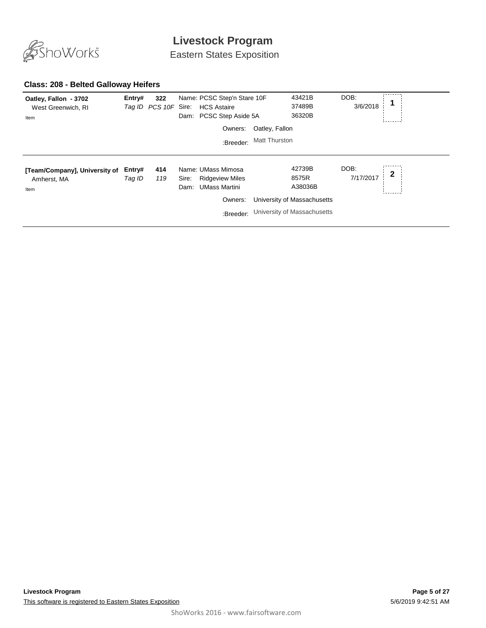

Eastern States Exposition

#### **Class: 208 - Belted Galloway Heifers**

| Oatley, Fallon - 3702<br>West Greenwich, RI<br>Item  | Entry#           | 322<br>Tag ID PCS 10F Sire: |               | Name: PCSC Step'n Stare 10F<br><b>HCS Astaire</b><br>Dam: PCSC Step Aside 5A                 |                | 43421B<br>37489B<br>36320B                                                               | DOB:<br>3/6/2018  |   |
|------------------------------------------------------|------------------|-----------------------------|---------------|----------------------------------------------------------------------------------------------|----------------|------------------------------------------------------------------------------------------|-------------------|---|
|                                                      |                  |                             |               | Owners:                                                                                      | Oatley, Fallon |                                                                                          |                   |   |
|                                                      |                  |                             |               | :Breeder:                                                                                    | Matt Thurston  |                                                                                          |                   |   |
| [Team/Company], University of<br>Amherst, MA<br>Item | Entry#<br>Tag ID | 414<br>119                  | Sire:<br>Dam: | Name: UMass Mimosa<br><b>Ridgeview Miles</b><br><b>UMass Martini</b><br>Owners:<br>:Breeder: |                | 42739B<br>8575R<br>A38036B<br>University of Massachusetts<br>University of Massachusetts | DOB:<br>7/17/2017 | 2 |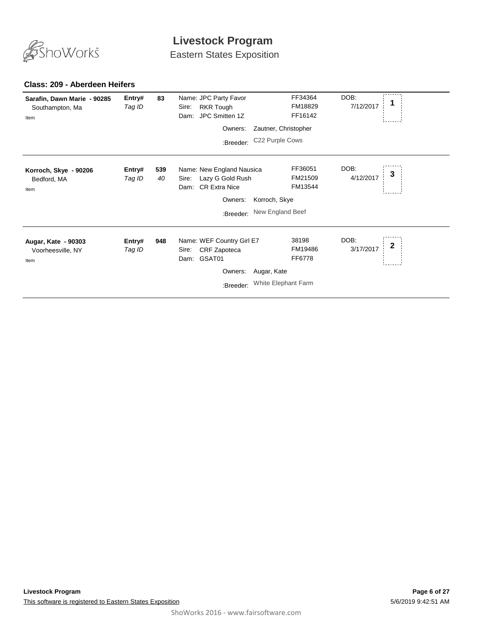

Eastern States Exposition

| Sarafin, Dawn Marie - 90285<br>Southampton, Ma<br>Item | Entry#<br>Tag ID | 83        | Name: JPC Party Favor<br><b>RKR Tough</b><br>Sire:<br>JPC Smitten 1Z<br>Dam:<br>Owners:<br>:Breeder:           | Zautner, Christopher<br>C22 Purple Cows | FF34364<br>FM18829<br>FF16142 | DOB:<br>7/12/2017 |   |
|--------------------------------------------------------|------------------|-----------|----------------------------------------------------------------------------------------------------------------|-----------------------------------------|-------------------------------|-------------------|---|
| Korroch, Skye - 90206<br>Bedford, MA<br>Item           | Entry#<br>Tag ID | 539<br>40 | Name: New England Nausica<br>Lazy G Gold Rush<br>Sire:<br><b>CR Extra Nice</b><br>Dam:<br>Owners:<br>:Breeder: | Korroch, Skye<br>New England Beef       | FF36051<br>FM21509<br>FM13544 | DOB:<br>4/12/2017 | 3 |
| Augar, Kate - 90303<br>Voorheesville, NY<br>Item       | Entry#<br>Tag ID | 948       | Name: WEF Country Girl E7<br>CRF Zapoteca<br>Sire:<br>GSAT01<br>Dam:<br>Owners:<br>:Breeder:                   | Augar, Kate<br>White Elephant Farm      | 38198<br>FM19486<br>FF6778    | DOB:<br>3/17/2017 |   |

#### **Class: 209 - Aberdeen Heifers**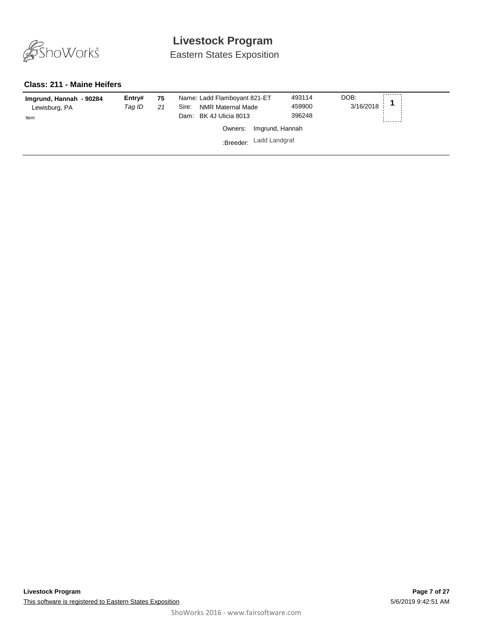

Eastern States Exposition

#### **Class: 211 - Maine Heifers**

| Imgrund, Hannah - 90284<br>Lewisburg, PA<br>Item | Entry#<br>Taq ID | 75<br>21 | Name: Ladd Flamboyant 821-ET<br>NMR Maternal Made<br>Sire:<br>Dam: BK 4J Ulicia 8013 |                 | 493114<br>459900<br>396248 | DOB:<br>3/16/2018 | -------- |
|--------------------------------------------------|------------------|----------|--------------------------------------------------------------------------------------|-----------------|----------------------------|-------------------|----------|
|                                                  |                  |          | Owners:                                                                              | Imgrund, Hannah |                            |                   |          |
|                                                  |                  |          | :Breeder:                                                                            | Ladd Landgraf   |                            |                   |          |
|                                                  |                  |          |                                                                                      |                 |                            |                   |          |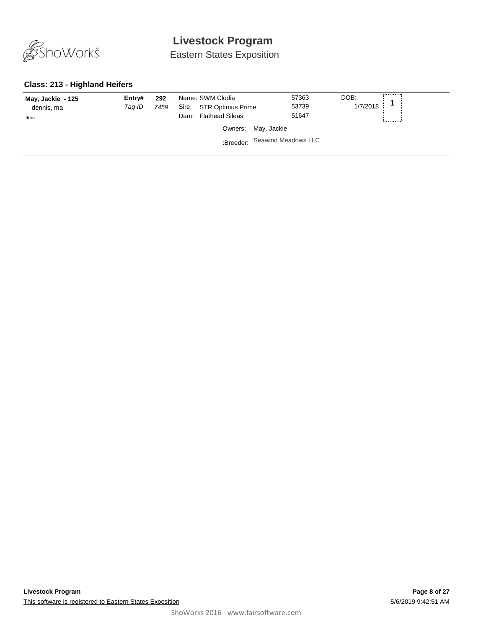

Eastern States Exposition

#### **Class: 213 - Highland Heifers**

| May, Jackie - 125 | Entrv#<br>Tag ID | 292<br>7459 |      | Name: SWM Clodia<br>Sire: STR Optimus Prime |                               | 57363<br>53739 | DOB:<br>1/7/2018 |  |
|-------------------|------------------|-------------|------|---------------------------------------------|-------------------------------|----------------|------------------|--|
| dennis, ma        |                  |             | Dam: | <b>Flathead Sileas</b>                      |                               | 51647          |                  |  |
| Item              |                  |             |      |                                             |                               |                |                  |  |
|                   |                  |             |      |                                             | Owners: May, Jackie           |                |                  |  |
|                   |                  |             |      |                                             | :Breeder: Seawind Meadows LLC |                |                  |  |
|                   |                  |             |      |                                             |                               |                |                  |  |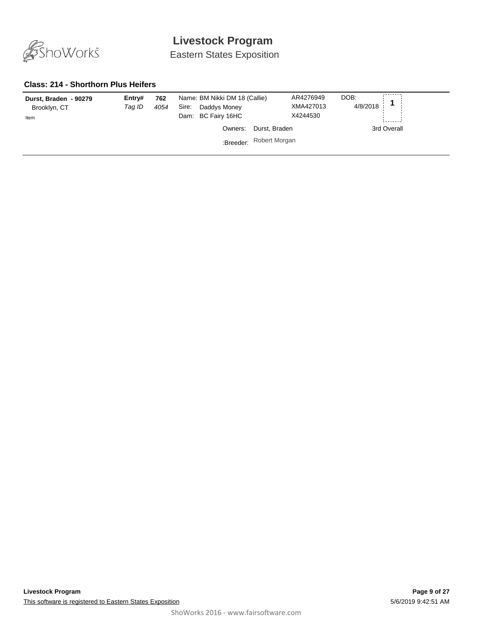

Eastern States Exposition

#### **Class: 214 - Shorthorn Plus Heifers**

| 4054<br>Tag ID<br>Brooklyn, CT<br>Item | Daddys Money<br>Dam: BC Fairy 16HC | XMA427013<br>X4244530 | 4/8/2018    |
|----------------------------------------|------------------------------------|-----------------------|-------------|
|                                        | Durst, Braden<br>Owners:           |                       | 3rd Overall |
|                                        | Robert Morgan<br>:Breeder:         |                       |             |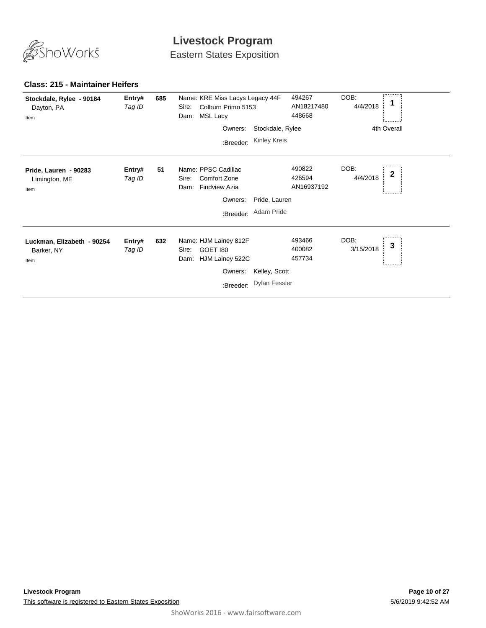

Eastern States Exposition

| Stockdale, Rylee - 90184<br>Dayton, PA<br>Item   | Entry#<br>Tag ID | 685 | Name: KRE Miss Lacys Legacy 44F<br>Colburn Primo 5153<br>Sire:<br><b>MSL Lacy</b><br>Dam: |                      | 494267<br>AN18217480<br>448668 | DOB:<br>4/4/2018  |              |
|--------------------------------------------------|------------------|-----|-------------------------------------------------------------------------------------------|----------------------|--------------------------------|-------------------|--------------|
|                                                  |                  |     | Owners:                                                                                   | Stockdale, Rylee     |                                |                   | 4th Overall  |
|                                                  |                  |     | :Breeder:                                                                                 | Kinley Kreis         |                                |                   |              |
| Pride, Lauren - 90283<br>Limington, ME<br>Item   | Entry#<br>Tag ID | 51  | Name: PPSC Cadillac<br><b>Comfort Zone</b><br>Sire:<br><b>Findview Azia</b><br>Dam:       |                      | 490822<br>426594<br>AN16937192 | DOB:<br>4/4/2018  | $\mathbf{2}$ |
|                                                  |                  |     | Owners:                                                                                   | Pride, Lauren        |                                |                   |              |
|                                                  |                  |     |                                                                                           | :Breeder: Adam Pride |                                |                   |              |
| Luckman, Elizabeth - 90254<br>Barker, NY<br>Item | Entry#<br>Tag ID | 632 | Name: HJM Lainey 812F<br>GOET 180<br>Sire:<br>HJM Lainey 522C<br>Dam:<br>Owners:          | Kelley, Scott        | 493466<br>400082<br>457734     | DOB:<br>3/15/2018 | 3            |
|                                                  |                  |     | :Breeder:                                                                                 | <b>Dylan Fessler</b> |                                |                   |              |

#### **Class: 215 - Maintainer Heifers**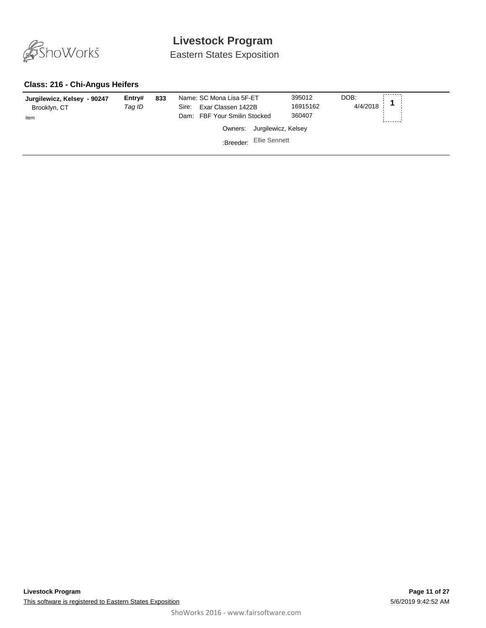

Eastern States Exposition

#### **Class: 216 - Chi-Angus Heifers**

| Jurgilewicz, Kelsey - 90247<br>Brooklyn, CT<br>Item | Entry#<br>Taq ID | 833 | Name: SC Mona Lisa 5F-ET<br>Exar Classen 1422B<br>Sire:<br>Dam: FBF Your Smilin Stocked | 395012<br>16915162<br>360407 | DOB:<br>4/4/2018 |
|-----------------------------------------------------|------------------|-----|-----------------------------------------------------------------------------------------|------------------------------|------------------|
|                                                     |                  |     | Owners: Jurgilewicz, Kelsey                                                             |                              |                  |
|                                                     |                  |     | Ellie Sennett<br>:Breeder:                                                              |                              |                  |
|                                                     |                  |     |                                                                                         |                              |                  |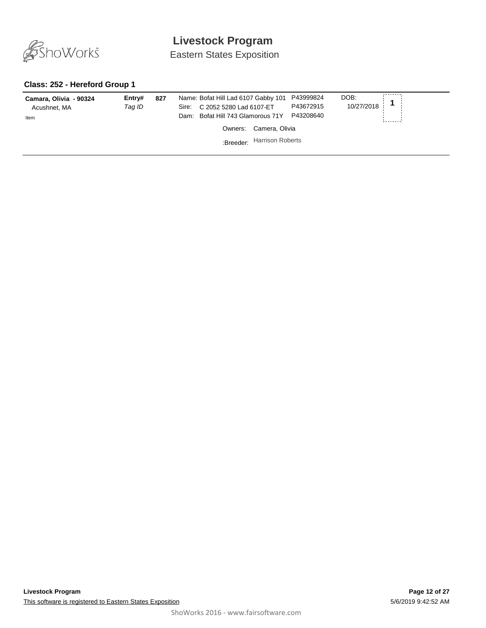

Eastern States Exposition

#### **Class: 252 - Hereford Group 1**

| Camara, Olivia - 90324<br>Acushnet, MA<br>Item | Entry#<br>Taq ID | 827 | Name: Bofat Hill Lad 6107 Gabby 101 P43999824<br>Sire: C 2052 5280 Lad 6107-ET<br>Dam: Bofat Hill 743 Glamorous 71Y | P43672915<br>P43208640 | DOB:<br>$10/27/2018$ <sup>1</sup> |
|------------------------------------------------|------------------|-----|---------------------------------------------------------------------------------------------------------------------|------------------------|-----------------------------------|
|                                                |                  |     | Owners: Camera, Olivia                                                                                              |                        |                                   |
|                                                |                  |     | :Breeder: Harrison Roberts                                                                                          |                        |                                   |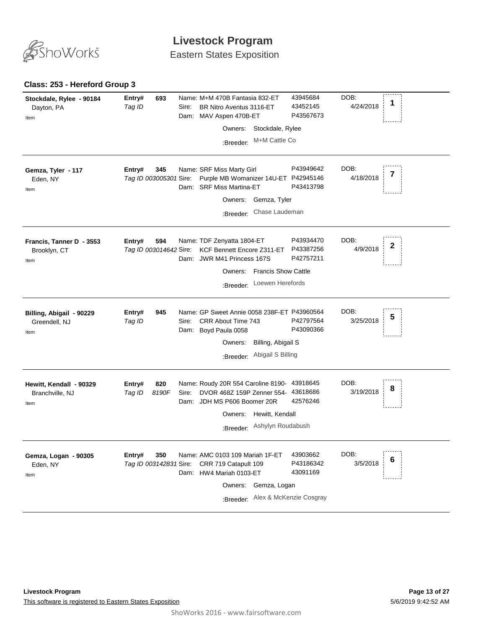

Eastern States Exposition

#### **Class: 253 - Hereford Group 3**

| Stockdale, Rylee - 90184<br>Dayton, PA<br>Item     | 693<br>Entry#<br>Tag ID                 | Name: M+M 470B Fantasia 832-ET<br>BR Nitro Aventus 3116-ET<br>Sire:<br>Dam: MAV Aspen 470B-ET<br>Stockdale, Rylee<br>Owners:<br>M+M Cattle Co<br>:Breeder:                                 | 43945684<br>43452145<br>P43567673                            | DOB:<br>1<br>4/24/2018 |
|----------------------------------------------------|-----------------------------------------|--------------------------------------------------------------------------------------------------------------------------------------------------------------------------------------------|--------------------------------------------------------------|------------------------|
| Gemza, Tyler - 117<br>Eden, NY<br>Item             | Entry#<br>345<br>Tag ID 003005301 Sire: | Name: SRF Miss Marty Girl<br>Purple MB Womanizer 14U-ET P42945146<br><b>SRF Miss Martina-ET</b><br>Dam:<br>Gemza, Tyler<br>Owners:<br>Chase Laudeman<br>:Breeder:                          | P43949642<br>P43413798                                       | DOB:<br>4/18/2018      |
| Francis, Tanner D - 3553<br>Brooklyn, CT<br>Item   | 594<br>Entry#<br>Tag ID 003014642 Sire: | Name: TDF Zenyatta 1804-ET<br>KCF Bennett Encore Z311-ET<br>Dam: JWR M41 Princess 167S<br>Owners: Francis Show Cattle<br>Loewen Herefords<br>:Breeder:                                     | P43934470<br>P43387256<br>P42757211                          | DOB:<br>2<br>4/9/2018  |
| Billing, Abigail - 90229<br>Greendell, NJ<br>Item  | Entry#<br>945<br>Tag ID                 | Name: GP Sweet Annie 0058 238F-ET P43960564<br>Sire:<br>CRR About Time 743<br>Dam: Boyd Paula 0058<br>Owners:<br>Billing, Abigail S<br>Abigail S Billing<br>:Breeder:                      | P42797564<br>P43090366                                       | DOB:<br>5<br>3/25/2018 |
| Hewitt, Kendall - 90329<br>Branchville, NJ<br>Item | 820<br>Entry#<br>8190F<br>Tag ID        | Name: Roudy 20R 554 Caroline 8190- 43918645<br>DVOR 468Z 159P Zenner 554- 43618686<br>Sire:<br>Dam: JDH MS P606 Boomer 20R<br>Hewitt, Kendall<br>Owners:<br>Ashylyn Roudabush<br>:Breeder: | 42576246                                                     | DOB:<br>8<br>3/19/2018 |
| Gemza, Logan - 90305<br>Eden, NY<br>Item           | Entry#<br>350<br>Tag ID 003142831 Sire: | Name: AMC 0103 109 Mariah 1F-ET<br>CRR 719 Catapult 109<br>Dam: HW4 Mariah 0103-ET<br>Owners:<br>Gemza, Logan<br>:Breeder:                                                                 | 43903662<br>P43186342<br>43091169<br>Alex & McKenzie Cosgray | DOB:<br>6<br>3/5/2018  |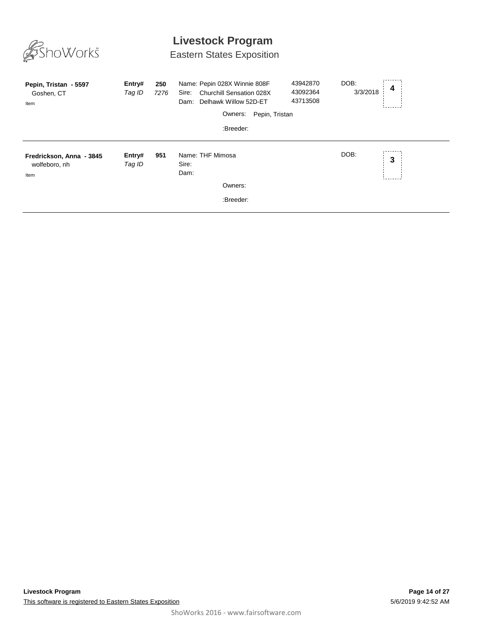

# Eastern States Exposition

| Pepin, Tristan - 5597<br>Goshen, CT<br>Item       | Entry#<br>Tag ID | 250<br>7276 | Name: Pepin 028X Winnie 808F<br><b>Churchill Sensation 028X</b><br>Sire:<br>Delhawk Willow 52D-ET<br>Dam:<br>Pepin, Tristan<br>Owners:<br>:Breeder: | DOB:<br>43942870<br>3/3/2018<br>43092364<br>43713508 | 4 |
|---------------------------------------------------|------------------|-------------|-----------------------------------------------------------------------------------------------------------------------------------------------------|------------------------------------------------------|---|
| Fredrickson, Anna - 3845<br>wolfeboro, nh<br>Item | Entry#<br>Tag ID | 951         | Name: THF Mimosa<br>Sire:<br>Dam:<br>Owners:<br>:Breeder:                                                                                           | DOB:                                                 | 3 |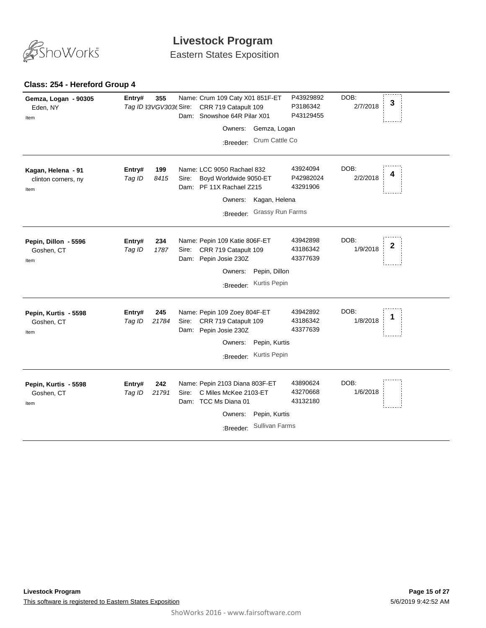

Eastern States Exposition

#### **Class: 254 - Hereford Group 4**

| Gemza, Logan - 90305<br>Eden, NY<br>Item          | Entry#           | 355<br>Tag ID 33VGV303t Sire: |       | Name: Crum 109 Caty X01 851F-ET<br>CRR 719 Catapult 109<br>Dam: Snowshoe 64R Pilar X01 |                               | P43929892<br>P3186342<br>P43129455 | DOB:<br>2/7/2018 | 3            |
|---------------------------------------------------|------------------|-------------------------------|-------|----------------------------------------------------------------------------------------|-------------------------------|------------------------------------|------------------|--------------|
|                                                   |                  |                               |       | Owners:                                                                                | Gemza, Logan                  |                                    |                  |              |
|                                                   |                  |                               |       | :Breeder:                                                                              | Crum Cattle Co                |                                    |                  |              |
| Kagan, Helena - 91<br>clinton corners, ny<br>Item | Entry#<br>Tag ID | 199<br>8415                   | Sire: | Name: LCC 9050 Rachael 832<br>Boyd Worldwide 9050-ET<br>Dam: PF 11X Rachael Z215       |                               | 43924094<br>P42982024<br>43291906  | DOB:<br>2/2/2018 | 4            |
|                                                   |                  |                               |       | Owners:                                                                                | Kagan, Helena                 |                                    |                  |              |
|                                                   |                  |                               |       | :Breeder:                                                                              | Grassy Run Farms              |                                    |                  |              |
| Pepin, Dillon - 5596<br>Goshen, CT<br>Item        | Entry#<br>Tag ID | 234<br>1787                   | Sire: | Name: Pepin 109 Katie 806F-ET<br>CRR 719 Catapult 109<br>Dam: Pepin Josie 230Z         |                               | 43942898<br>43186342<br>43377639   | DOB:<br>1/9/2018 | $\mathbf{2}$ |
|                                                   |                  |                               |       | Owners:                                                                                | Pepin, Dillon                 |                                    |                  |              |
|                                                   |                  |                               |       | :Breeder:                                                                              | Kurtis Pepin                  |                                    |                  |              |
| Pepin, Kurtis - 5598<br>Goshen, CT<br>Item        | Entry#<br>Tag ID | 245<br>21784                  | Sire: | Name: Pepin 109 Zoey 804F-ET<br>CRR 719 Catapult 109<br>Dam: Pepin Josie 230Z          |                               | 43942892<br>43186342<br>43377639   | DOB:<br>1/8/2018 |              |
|                                                   |                  |                               |       | Owners:<br>:Breeder:                                                                   | Pepin, Kurtis<br>Kurtis Pepin |                                    |                  |              |
| Pepin, Kurtis - 5598<br>Goshen, CT<br>Item        | Entry#<br>Tag ID | 242<br>21791                  | Sire: | Name: Pepin 2103 Diana 803F-ET<br>C Miles McKee 2103-ET<br>Dam: TCC Ms Diana 01        |                               | 43890624<br>43270668<br>43132180   | DOB:<br>1/6/2018 |              |
|                                                   |                  |                               |       | Owners:                                                                                | Pepin, Kurtis                 |                                    |                  |              |
|                                                   |                  |                               |       | :Breeder:                                                                              | <b>Sullivan Farms</b>         |                                    |                  |              |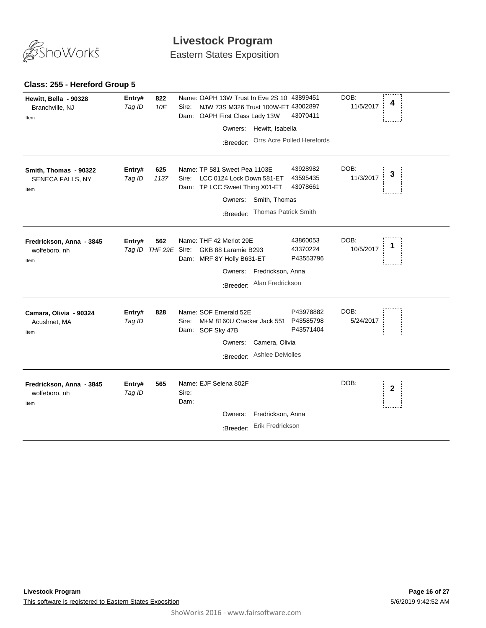

Eastern States Exposition

#### **Class: 255 - Hereford Group 5**

| Hewitt, Bella - 90328<br>Branchville, NJ<br>Item  | 822<br>Entry#<br>Tag ID<br>10E        | Name: OAPH 13W Trust In Eve 2S 10 43899451<br>NJW 73S M326 Trust 100W-ET 43002897<br>Sire:<br>43070411<br>OAPH First Class Lady 13W<br>Dam:<br>Hewitt, Isabella<br>Owners:<br>Orrs Acre Polled Herefords<br>:Breeder: | DOB:<br>4<br>11/5/2017 |
|---------------------------------------------------|---------------------------------------|-----------------------------------------------------------------------------------------------------------------------------------------------------------------------------------------------------------------------|------------------------|
| Smith, Thomas - 90322<br>SENECA FALLS, NY<br>Item | Entry#<br>625<br>Tag ID<br>1137       | 43928982<br>Name: TP 581 Sweet Pea 1103E<br>43595435<br>LCC 0124 Lock Down 581-ET<br>Sire:<br>43078661<br>Dam: TP LCC Sweet Thing X01-ET<br>Smith, Thomas<br>Owners:<br>Thomas Patrick Smith<br>:Breeder:             | DOB:<br>3<br>11/3/2017 |
| Fredrickson, Anna - 3845<br>wolfeboro, nh<br>Item | 562<br>Entry#<br>Tag ID THF 29E Sire: | Name: THF 42 Merlot 29E<br>43860053<br>43370224<br>GKB 88 Laramie B293<br>P43553796<br>Dam: MRF 8Y Holly B631-ET<br>Owners: Fredrickson, Anna<br>Alan Fredrickson<br>:Breeder:                                        | DOB:<br>1<br>10/5/2017 |
| Camara, Olivia - 90324<br>Acushnet, MA<br>Item    | 828<br>Entry#<br>Tag ID               | P43978882<br>Name: SOF Emerald 52E<br>P43585798<br>Sire:<br>M+M 8160U Cracker Jack 551<br>P43571404<br>Dam: SOF Sky 47B<br>Camera, Olivia<br>Owners:<br>Ashlee DeMolles<br>:Breeder:                                  | DOB:<br>5/24/2017      |
| Fredrickson, Anna - 3845<br>wolfeboro, nh<br>Item | Entry#<br>565<br>Tag ID               | Name: EJF Selena 802F<br>Sire:<br>Dam:<br>Fredrickson, Anna<br>Owners:<br>Erik Fredrickson<br>:Breeder:                                                                                                               | DOB:<br>$\mathbf{2}$   |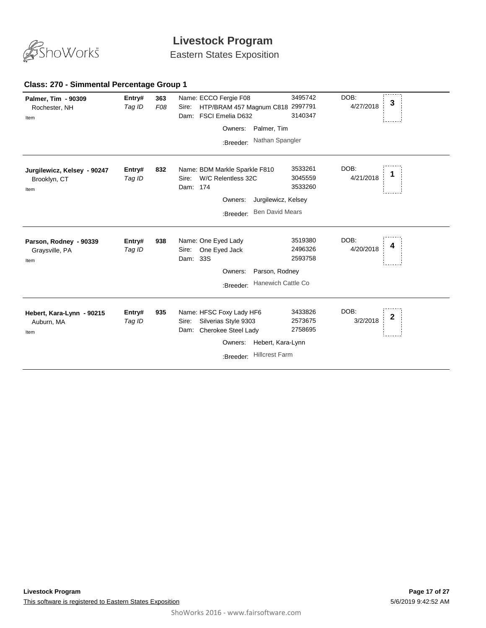

Eastern States Exposition

| Palmer, Tim - 90309<br>Rochester, NH<br>Item        | Entry#<br>Tag ID | 363<br>F08 | Name: ECCO Fergie F08<br>HTP/BRAM 457 Magnum C818 2997791<br>Sire:<br>Dam: FSCI Emelia D632<br>Palmer, Tim<br>Owners:<br>Nathan Spangler<br>:Breeder: | 3495742<br>3140347                                   | DOB:<br>3<br>4/27/2018 |
|-----------------------------------------------------|------------------|------------|-------------------------------------------------------------------------------------------------------------------------------------------------------|------------------------------------------------------|------------------------|
| Jurgilewicz, Kelsey - 90247<br>Brooklyn, CT<br>Item | Entry#<br>Tag ID | 832        | Name: BDM Markle Sparkle F810<br>W/C Relentless 32C<br>Sire:<br>Dam: 174<br>Owners:<br><b>Ben David Mears</b><br>:Breeder:                            | 3533261<br>3045559<br>3533260<br>Jurgilewicz, Kelsey | DOB:<br>1<br>4/21/2018 |
| Parson, Rodney - 90339<br>Graysville, PA<br>Item    | Entry#<br>Tag ID | 938        | Name: One Eyed Lady<br>One Eyed Jack<br>Sire:<br>Dam: 33S<br>Parson, Rodney<br>Owners:<br>:Breeder:                                                   | 3519380<br>2496326<br>2593758<br>Hanewich Cattle Co  | DOB:<br>4/20/2018      |
| Hebert, Kara-Lynn - 90215<br>Auburn, MA<br>Item     | Entry#<br>Tag ID | 935        | Name: HFSC Foxy Lady HF6<br>Silverias Style 9303<br>Sire:<br>Dam: Cherokee Steel Lady<br>Owners:<br><b>Hillcrest Farm</b><br>:Breeder:                | 3433826<br>2573675<br>2758695<br>Hebert, Kara-Lynn   | DOB:<br>2<br>3/2/2018  |

#### **Class: 270 - Simmental Percentage Group 1**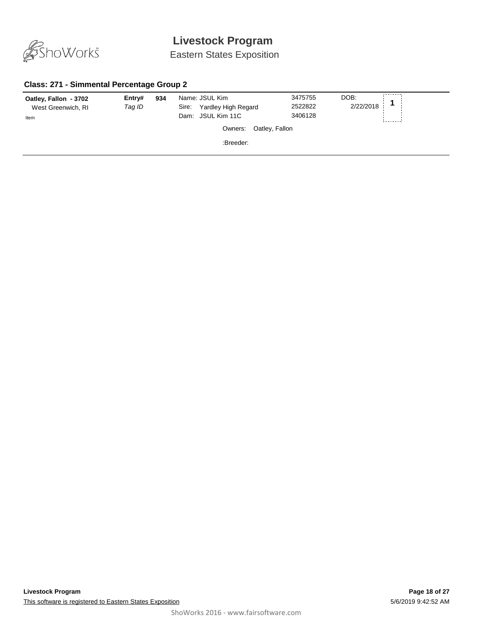

Eastern States Exposition

#### **Class: 271 - Simmental Percentage Group 2**

| Oatley, Fallon - 3702<br>West Greenwich, RI<br>Item | Entry#<br>Tag ID | 934 | Name: JSUL Kim<br>Yardley High Regard<br>Sire:<br>JSUL Kim 11C<br>Dam:<br>Owners: Oatley, Fallon | 3475755<br>2522822<br>3406128 | DOB:<br>2/22/2018 |  |
|-----------------------------------------------------|------------------|-----|--------------------------------------------------------------------------------------------------|-------------------------------|-------------------|--|
|                                                     |                  |     | :Breeder:                                                                                        |                               |                   |  |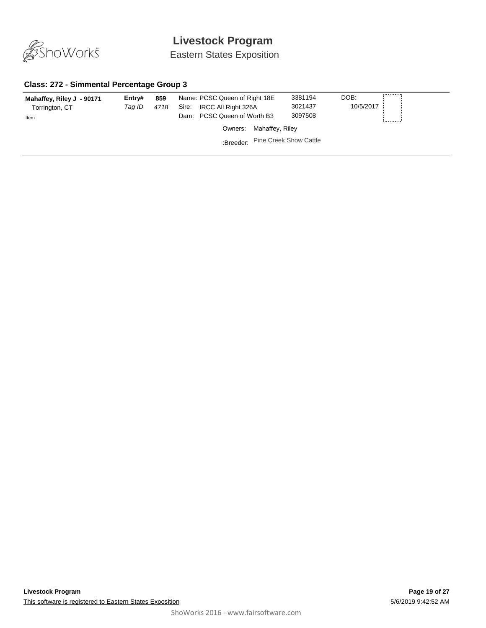

Eastern States Exposition

#### **Class: 272 - Simmental Percentage Group 3**

| Mahaffey, Riley J - 90171<br>Torrington, CT<br>Item | Entry#<br>Tag ID | 859<br>4718 | Name: PCSC Queen of Right 18E<br>IRCC All Right 326A<br>Sire:<br>Dam: PCSC Queen of Worth B3 | 3381194<br>3021437<br>3097508 | DOB:<br>10/5/2017 |
|-----------------------------------------------------|------------------|-------------|----------------------------------------------------------------------------------------------|-------------------------------|-------------------|
|                                                     |                  |             | Owners: Mahaffey, Riley                                                                      |                               |                   |
|                                                     |                  |             | :Breeder: Pine Creek Show Cattle                                                             |                               |                   |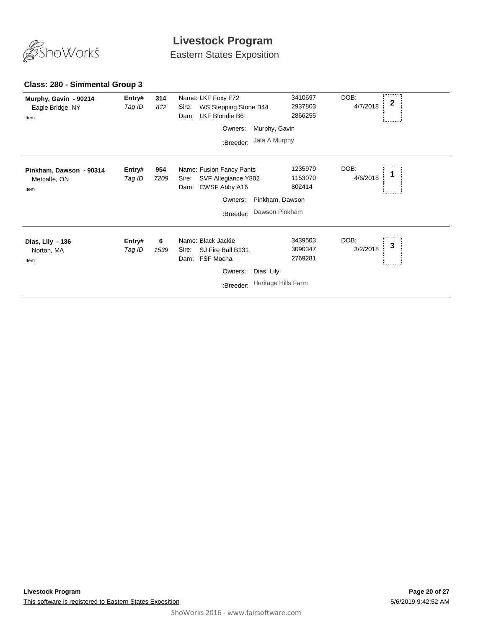

Eastern States Exposition

#### **Class: 280 - Simmental Group 3**

| Murphy, Gavin - 90214<br>Eagle Bridge, NY<br>Item | Entry#<br>Tag ID | 314<br>872  | Name: LKF Foxy F72<br>WS Stepping Stone B44<br>Sire:<br>LKF Blondie B6<br>Dam:    |                     | DOB:<br>3410697<br>2937803<br>2866255 | $\mathbf{2}$<br>4/7/2018 |  |
|---------------------------------------------------|------------------|-------------|-----------------------------------------------------------------------------------|---------------------|---------------------------------------|--------------------------|--|
|                                                   |                  |             | Owners:                                                                           | Murphy, Gavin       |                                       |                          |  |
|                                                   |                  |             | :Breeder:                                                                         | Jala A Murphy       |                                       |                          |  |
| Pinkham, Dawson - 90314<br>Metcalfe, ON<br>Item   | Entry#<br>Tag ID | 954<br>7209 | Name: Fusion Fancy Pants<br>SVF Allegiance Y802<br>Sire:<br>CWSF Abby A16<br>Dam: | 802414              | DOB:<br>1235979<br>1153070            | 4/6/2018                 |  |
|                                                   |                  |             | Owners:                                                                           | Pinkham, Dawson     |                                       |                          |  |
|                                                   |                  |             | :Breeder:                                                                         | Dawson Pinkham      |                                       |                          |  |
| Dias, Lily - 136<br>Norton, MA<br>Item            | Entry#<br>Tag ID | 6<br>1539   | Name: Black Jackie<br>SJ Fire Ball B131<br>Sire:<br>FSF Mocha<br>Dam:             | 2769281             | DOB:<br>3439503<br>3090347            | 3<br>3/2/2018            |  |
|                                                   |                  |             | Owners:                                                                           | Dias, Lily          |                                       |                          |  |
|                                                   |                  |             | :Breeder:                                                                         | Heritage Hills Farm |                                       |                          |  |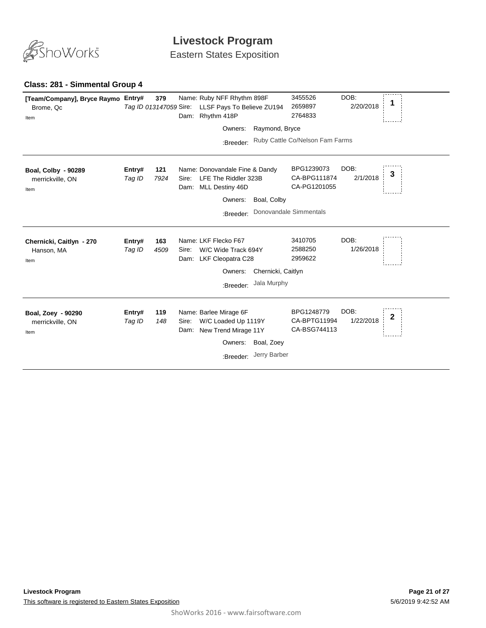

Eastern States Exposition

### **Class: 281 - Simmental Group 4**

| [Team/Company], Bryce Raymo Entry#<br>Brome, Qc<br>Item | Tag ID 013147059 Sire: | 379         |               | Name: Ruby NFF Rhythm 898F<br>LLSF Pays To Believe ZU194<br>Dam: Rhythm 418P                           |                                   | 3455526<br>2659897<br>2764833                                        | DOB:<br>2/20/2018 |              |
|---------------------------------------------------------|------------------------|-------------|---------------|--------------------------------------------------------------------------------------------------------|-----------------------------------|----------------------------------------------------------------------|-------------------|--------------|
|                                                         |                        |             |               | Owners:                                                                                                | Raymond, Bryce                    |                                                                      |                   |              |
|                                                         |                        |             |               | :Breeder:                                                                                              |                                   | Ruby Cattle Co/Nelson Fam Farms                                      |                   |              |
| Boal, Colby - 90289<br>merrickville, ON<br>Item         | Entry#<br>Tag ID       | 121<br>7924 | Sire:         | Name: Donovandale Fine & Dandy<br>LFE The Riddler 323B<br>Dam: MLL Destiny 46D<br>Owners:<br>:Breeder: | Boal, Colby                       | BPG1239073<br>CA-BPG111874<br>CA-PG1201055<br>Donovandale Simmentals | DOB:<br>2/1/2018  | 3            |
| Chernicki, Caitlyn - 270<br>Hanson, MA<br>Item          | Entry#<br>Tag ID       | 163<br>4509 | Sire:         | Name: LKF Flecko F67<br>W/C Wide Track 694Y<br>Dam: LKF Cleopatra C28<br>Owners:<br>:Breeder:          | Chernicki, Caitlyn<br>Jala Murphy | 3410705<br>2588250<br>2959622                                        | DOB:<br>1/26/2018 |              |
| Boal, Zoey - 90290<br>merrickville, ON<br>Item          | Entry#<br>Tag ID       | 119<br>148  | Sire:<br>Dam: | Name: Barlee Mirage 6F<br>W/C Loaded Up 1119Y<br>New Trend Mirage 11Y<br>Owners:<br>:Breeder:          | Boal, Zoey<br>Jerry Barber        | BPG1248779<br>CA-BPTG11994<br>CA-BSG744113                           | DOB:<br>1/22/2018 | $\mathbf{2}$ |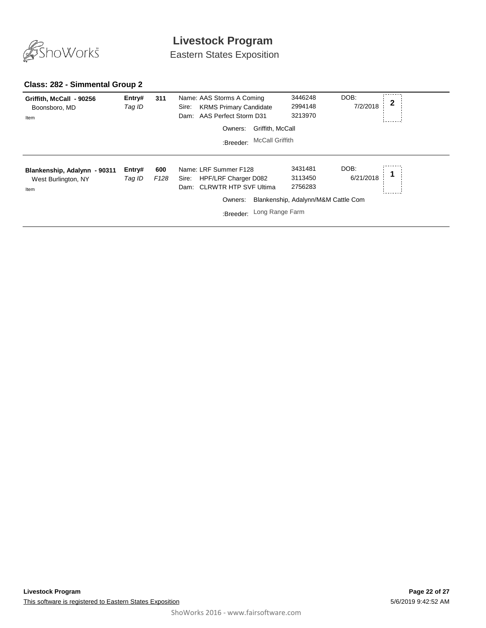

Eastern States Exposition

#### **Class: 282 - Simmental Group 2**

| Griffith, McCall - 90256<br>Boonsboro, MD<br>Item           | Entry#<br>Tag ID | 311                     | Name: AAS Storms A Coming<br><b>KRMS Primary Candidate</b><br>Sire:<br>Dam: AAS Perfect Storm D31            | 3446248<br>2994148<br>3213970                                                           | DOB:<br>2<br>7/2/2018 |
|-------------------------------------------------------------|------------------|-------------------------|--------------------------------------------------------------------------------------------------------------|-----------------------------------------------------------------------------------------|-----------------------|
|                                                             |                  |                         | Griffith, McCall<br>Owners:<br><b>McCall Griffith</b><br>:Breeder:                                           |                                                                                         |                       |
| Blankenship, Adalynn - 90311<br>West Burlington, NY<br>Item | Entry#<br>Tag ID | 600<br>F <sub>128</sub> | Name: LRF Summer F128<br>HPF/LRF Charger D082<br>Sire:<br>Dam: CLRWTR HTP SVF Ultima<br>Owners:<br>:Breeder: | 3431481<br>3113450<br>2756283<br>Blankenship, Adalynn/M&M Cattle Com<br>Long Range Farm | DOB:<br>6/21/2018     |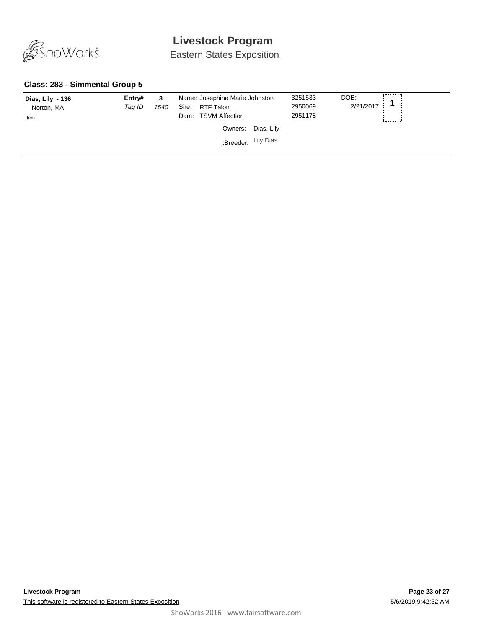

Eastern States Exposition

#### **Class: 283 - Simmental Group 5**

| Dias, Lily - 136<br>Norton, MA<br>Item | Entry#<br>Taq ID | 3<br>1540 | Name: Josephine Marie Johnston<br>RTF Talon<br>Sire:<br>Dam: TSVM Affection | 3251533<br>2950069<br>2951178 | DOB:<br>2/21/2017 |
|----------------------------------------|------------------|-----------|-----------------------------------------------------------------------------|-------------------------------|-------------------|
|                                        |                  |           | Owners:<br>Dias, Lily<br>Breeder: Lily Dias                                 |                               |                   |
|                                        |                  |           |                                                                             |                               |                   |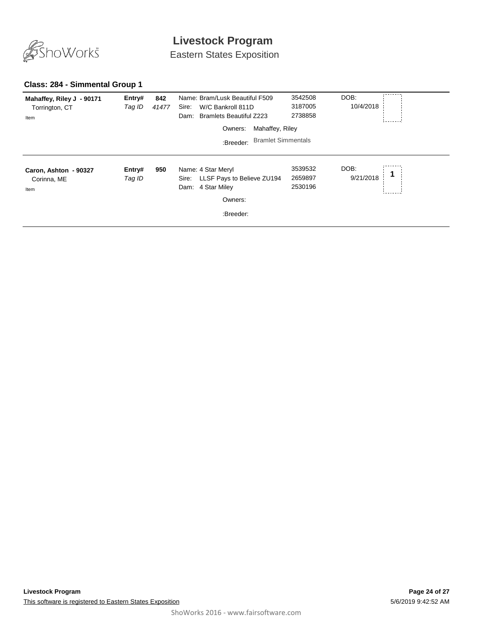

Eastern States Exposition

#### **Class: 284 - Simmental Group 1**

| Mahaffey, Riley J - 90171<br>Torrington, CT<br>Item | Entry#<br>Tag ID | 842<br>41477 | Name: Bram/Lusk Beautiful F509<br>W/C Bankroll 811D<br>Sire:<br><b>Bramlets Beautiful Z223</b><br>Dam: | 3542508<br>3187005<br>2738858 | DOB:<br>10/4/2018 |  |
|-----------------------------------------------------|------------------|--------------|--------------------------------------------------------------------------------------------------------|-------------------------------|-------------------|--|
|                                                     |                  |              | Mahaffey, Riley<br>Owners:                                                                             |                               |                   |  |
|                                                     |                  |              | <b>Bramlet Simmentals</b><br>:Breeder:                                                                 |                               |                   |  |
| Caron, Ashton - 90327<br>Corinna, ME<br>Item        | Entry#<br>Tag ID | 950          | Name: 4 Star Meryl<br>Sire: LLSF Pays to Believe ZU194<br>4 Star Miley<br>Dam:<br>Owners:<br>:Breeder: | 3539532<br>2659897<br>2530196 | DOB:<br>9/21/2018 |  |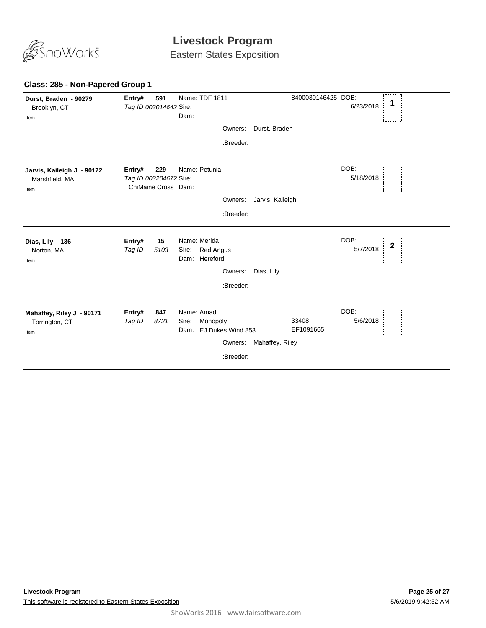

Eastern States Exposition

#### **Durst, Braden - 90279 8400 Entry# 591** Name: TDF 1811 **Entry# 591** Name: TDF 1811 8400030146425 DOB: <br>*Tag ID 003014642 Sire*: 6/23/2018 **1** 6/23/2018 Brooklyn, CT Tag ID 003014642 Sire: Dam: Item ÷. Owners: Durst, Braden :Breeder: DOB: **Jarvis, Kaileigh J - 90172 Entry# 229** Name: Petunia 5/18/2018 Marshfield, MA *Tag ID 003204672 Sire:* ChiMaine Cross Dam: Item Owners: Jarvis, Kaileigh :Breeder: DOB: **Dias, Lily - 136 15** Name: Merida **Entry# 15** Name: Merida DOB: 2<br>*Tag ID 5103* Sire: Bed Angus 5/7/2018 **2**  $Tag$  *ID* Sire: Red Angus 5/7/2018 Norton, MA Dam: Hereford Item Owners: Dias, Lily :Breeder: **Entry#** DOB: **Mahaffey, Riley J - 90171 847** Name: Amadi *Tag ID 8721* 33408 Sire: Monopoly 5/6/2018 Torrington, CT EF1091665 Dam: EJ Dukes Wind 853 Item Owners: Mahaffey, Riley :Breeder:

#### **Class: 285 - Non-Papered Group 1**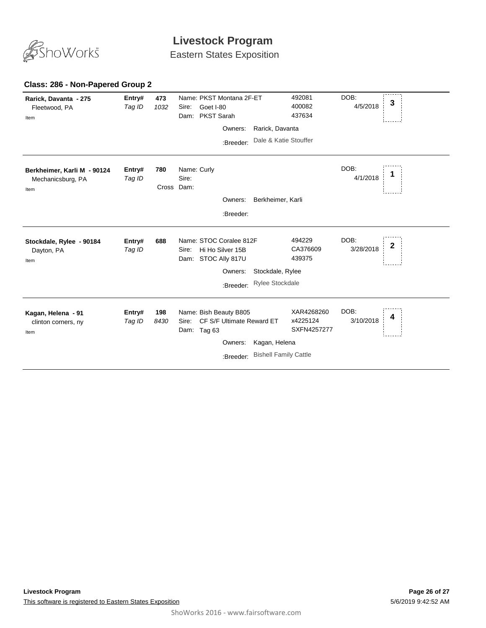

Eastern States Exposition

#### **473** *Tag ID 1032* Name: PKST Montana 2F-ET **Entry# <sup>3</sup>** Sire: Goet I-80 DOB: 4/5/2018 Dam: PKST Sarah 492081 400082 437634 **Rarick, Davanta - 275** Fleetwood, PA Item Owners: Rarick, Davanta :Breeder: Dale & Katie Stouffer **780** *Tag ID* Name: Curly Sire: DOB: 4/1/2018 Cross Dam: **Berkheimer, Karli M - 90124** Mechanicsburg, PA **Entry# 780** Name: Curly DOB: 1<br>*Tag ID* Sire: 4/1/2018 **1** Item Owners: Berkheimer, Karli :Breeder: **688** *Tag ID* Name: STOC Coralee 812F **Entry# <sup>2</sup>** Sire: Hi Ho Silver 15B DOB: 3/28/2018 Dam: STOC Ally 817U 494229 CA376609 439375 **Stockdale, Rylee - 90184** Dayton, PA Item Owners: Stockdale, Rylee :Breeder: Rylee Stockdale **198** *Tag ID 8430* Name: Bish Beauty B805 Sire: CF S/F Ultimate Reward ET **Entry# <sup>4</sup>** DOB: 3/10/2018 Dam: Tag 63 XAR4268260 x4225124 SXFN4257277 **Kagan, Helena - 91** clinton corners, ny Item Owners: Kagan, Helena :Breeder: Bishell Family Cattle

#### **Class: 286 - Non-Papered Group 2**